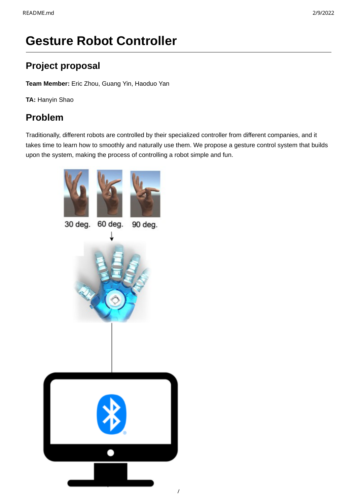# **Gesture Robot Controller**

# **Project proposal**

**Team Member:** Eric Zhou, Guang Yin, Haoduo Yan

**TA:** Hanyin Shao

# **Problem**

Traditionally, different robots are controlled by their specialized controller from different companies, and it takes time to learn how to smoothly and naturally use them. We propose a gesture control system that builds upon the system, making the process of controlling a robot simple and fun.

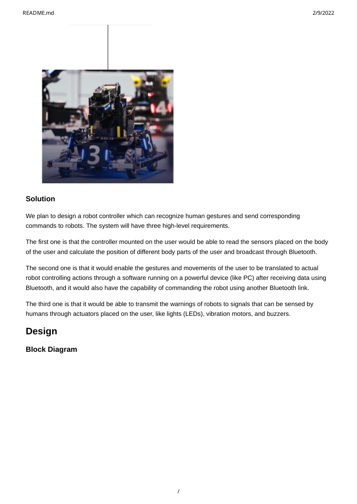

# **Solution**

We plan to design a robot controller which can recognize human gestures and send corresponding commands to robots. The system will have three high-level requirements.

The first one is that the controller mounted on the user would be able to read the sensors placed on the body of the user and calculate the position of different body parts of the user and broadcast through Bluetooth.

The second one is that it would enable the gestures and movements of the user to be translated to actual robot controlling actions through a software running on a powerful device (like PC) after receiving data using Bluetooth, and it would also have the capability of commanding the robot using another Bluetooth link.

The third one is that it would be able to transmit the warnings of robots to signals that can be sensed by humans through actuators placed on the user, like lights (LEDs), vibration motors, and buzzers.

# **Design**

**Block Diagram**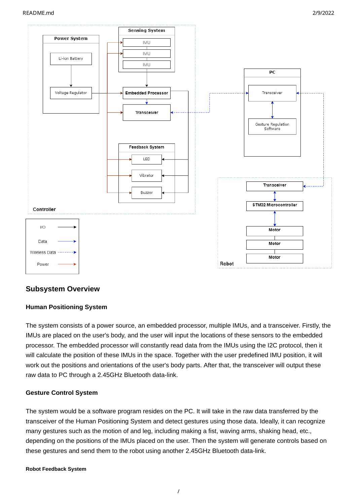

# **Subsystem Overview**

### **Human Positioning System**

The system consists of a power source, an embedded processor, multiple IMUs, and a transceiver. Firstly, the IMUs are placed on the user's body, and the user will input the locations of these sensors to the embedded processor. The embedded processor will constantly read data from the IMUs using the I2C protocol, then it will calculate the position of these IMUs in the space. Together with the user predefined IMU position, it will work out the positions and orientations of the user's body parts. After that, the transceiver will output these raw data to PC through a 2.45GHz Bluetooth data-link.

### **Gesture Control System**

The system would be a software program resides on the PC. It will take in the raw data transferred by the transceiver of the Human Positioning System and detect gestures using those data. Ideally, it can recognize many gestures such as the motion of and leg, including making a fist, waving arms, shaking head, etc., depending on the positions of the IMUs placed on the user. Then the system will generate controls based on these gestures and send them to the robot using another 2.45GHz Bluetooth data-link.

### **Robot Feedback System**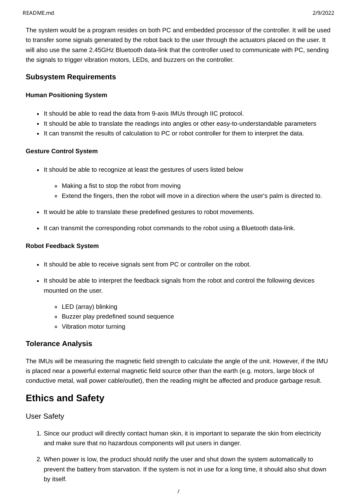The system would be a program resides on both PC and embedded processor of the controller. It will be used to transfer some signals generated by the robot back to the user through the actuators placed on the user. It will also use the same 2.45GHz Bluetooth data-link that the controller used to communicate with PC, sending the signals to trigger vibration motors, LEDs, and buzzers on the controller.

# **Subsystem Requirements**

### **Human Positioning System**

- It should be able to read the data from 9-axis IMUs through IIC protocol.
- It should be able to translate the readings into angles or other easy-to-understandable parameters
- It can transmit the results of calculation to PC or robot controller for them to interpret the data.

## **Gesture Control System**

- It should be able to recognize at least the gestures of users listed below
	- Making a fist to stop the robot from moving
	- Extend the fingers, then the robot will move in a direction where the user's palm is directed to.
- It would be able to translate these predefined gestures to robot movements.
- It can transmit the corresponding robot commands to the robot using a Bluetooth data-link.

### **Robot Feedback System**

- It should be able to receive signals sent from PC or controller on the robot.
- It should be able to interpret the feedback signals from the robot and control the following devices mounted on the user.
	- LED (array) blinking
	- Buzzer play predefined sound sequence
	- Vibration motor turning

# **Tolerance Analysis**

The IMUs will be measuring the magnetic field strength to calculate the angle of the unit. However, if the IMU is placed near a powerful external magnetic field source other than the earth (e.g. motors, large block of conductive metal, wall power cable/outlet), then the reading might be affected and produce garbage result.

# **Ethics and Safety**

# User Safety

- 1. Since our product will directly contact human skin, it is important to separate the skin from electricity and make sure that no hazardous components will put users in danger.
- 2. When power is low, the product should notify the user and shut down the system automatically to prevent the battery from starvation. If the system is not in use for a long time, it should also shut down by itself.